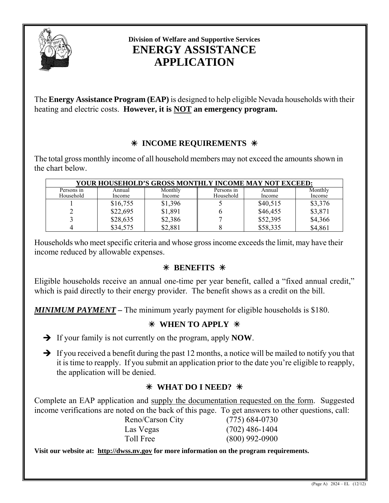

# **Division of Welfare and Supportive Services ENERGY ASSISTANCE APPLICATION**

The **Energy Assistance Program (EAP)** is designed to help eligible Nevada households with their heating and electric costs. **However, it is NOT an emergency program.** 

# Â **INCOME REQUIREMENTS** Â

 The total gross monthly income of all household members may not exceed the amounts shown in the chart below.

| YOUR HOUSEHOLD'S GROSS MONTHLY INCOME MAY NOT EXCEED: |          |         |            |          |         |  |  |  |
|-------------------------------------------------------|----------|---------|------------|----------|---------|--|--|--|
| Persons in                                            | Annual   | Monthly | Persons in | Annual   | Monthly |  |  |  |
| Household                                             | Income   | Income  | Household  | Income   | Income  |  |  |  |
|                                                       | \$16,755 | \$1,396 |            | \$40,515 | \$3,376 |  |  |  |
|                                                       | \$22,695 | \$1,891 |            | \$46,455 | \$3,871 |  |  |  |
|                                                       | \$28,635 | \$2,386 |            | \$52,395 | \$4,366 |  |  |  |
|                                                       | \$34,575 | \$2,881 |            | \$58,335 | \$4,861 |  |  |  |

Households who meet specific criteria and whose gross income exceeds the limit, may have their income reduced by allowable expenses.

# Â **BENEFITS** Â

Eligible households receive an annual one-time per year benefit, called a "fixed annual credit," which is paid directly to their energy provider. The benefit shows as a credit on the bill.

*MINIMUM PAYMENT* **–** The minimum yearly payment for eligible households is \$180.

# Â **WHEN TO APPLY** Â

- ¼ If your family is not currently on the program, apply **NOW**.
- $\rightarrow$  If you received a benefit during the past 12 months, a notice will be mailed to notify you that it is time to reapply. If you submit an application prior to the date you're eligible to reapply, the application will be denied.

# Â **WHAT DO I NEED?** Â

Complete an EAP application and supply the documentation requested on the form. Suggested income verifications are noted on the back of this page. To get answers to other questions, call:

| Reno/Carson City | $(775)$ 684-0730 |
|------------------|------------------|
| Las Vegas        | $(702)$ 486-1404 |
| Toll Free        | $(800)$ 992-0900 |

**Visit our website at: [http://dwss.nv.gov](http://dwss.nv.gov/) for more information on the program requirements.**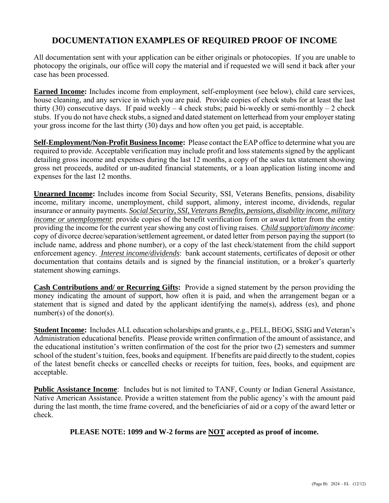# **DOCUMENTATION EXAMPLES OF REQUIRED PROOF OF INCOME**

All documentation sent with your application can be either originals or photocopies. If you are unable to photocopy the originals, our office will copy the material and if requested we will send it back after your case has been processed.

**Earned Income:** Includes income from employment, self-employment (see below), child care services, house cleaning, and any service in which you are paid. Provide copies of check stubs for at least the last thirty (30) consecutive days. If paid weekly  $-4$  check stubs; paid bi-weekly or semi-monthly  $-2$  check stubs. If you do not have check stubs, a signed and dated statement on letterhead from your employer stating your gross income for the last thirty (30) days and how often you get paid, is acceptable.

**Self-Employment/Non-Profit Business Income:** Please contact the EAP office to determine what you are required to provide. Acceptable verification may include profit and loss statements signed by the applicant detailing gross income and expenses during the last 12 months, a copy of the sales tax statement showing gross net proceeds, audited or un-audited financial statements, or a loan application listing income and expenses for the last 12 months.

**Unearned Income:** Includes income from Social Security, SSI, Veterans Benefits, pensions, disability income, military income, unemployment, child support, alimony, interest income, dividends, regular insurance or annuity payments. *Social Security, SSI, Veterans Benefits, pensions, disability income, military income or unemployment*: provide copies of the benefit verification form or award letter from the entity providing the income for the current year showing any cost of living raises. *Child support/alimony income*: copy of divorce decree/separation/settlement agreement, or dated letter from person paying the support (to include name, address and phone number), or a copy of the last check/statement from the child support enforcement agency. *Interest income/dividends*: bank account statements, certificates of deposit or other documentation that contains details and is signed by the financial institution, or a broker's quarterly statement showing earnings.

**Cash Contributions and/ or Recurring Gifts:** Provide a signed statement by the person providing the money indicating the amount of support, how often it is paid, and when the arrangement began or a statement that is signed and dated by the applicant identifying the name(s), address (es), and phone number(s) of the donor(s).

**Student Income:** Includes ALL education scholarships and grants, e.g., PELL, BEOG, SSIG and Veteran's Administration educational benefits. Please provide written confirmation of the amount of assistance, and the educational institution's written confirmation of the cost for the prior two (2) semesters and summer school of the student's tuition, fees, books and equipment. If benefits are paid directly to the student, copies of the latest benefit checks or cancelled checks or receipts for tuition, fees, books, and equipment are acceptable.

**Public Assistance Income**: Includes but is not limited to TANF, County or Indian General Assistance, Native American Assistance. Provide a written statement from the public agency's with the amount paid during the last month, the time frame covered, and the beneficiaries of aid or a copy of the award letter or check.

**PLEASE NOTE: 1099 and W-2 forms are NOT accepted as proof of income.**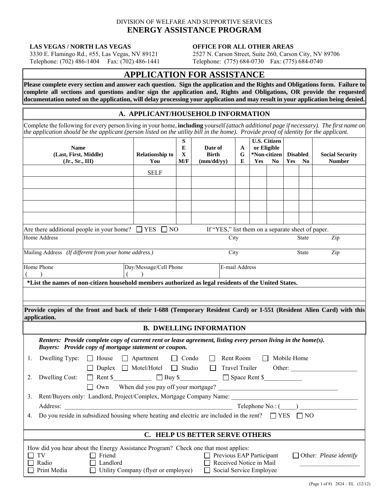## DIVISION OF WELFARE AND SUPPORTIVE SERVICES **ENERGY ASSISTANCE PROGRAM**

#### **LAS VEGAS / NORTH LAS VEGAS 6 0FFICE FOR ALL OTHER AREAS**

 3330 E. Flamingo Rd., #55, Las Vegas, NV 89121 2527 N. Carson Street, Suite 260, Carson City, NV 89706 Telephone: (702) 486-1404 Fax: (702) 486-1441 Telephone: (775) 684-0730 Fax: (775) 684-0740

# **APPLICATION FOR ASSISTANCE**

**Please complete every section and answer each question. Sign the application and the Rights and Obligations form. Failure to complete all sections and questions and/or sign the application and, Rights and Obligations, OR provide the requested documentation noted on the application, will delay processing your application and may result in your application being denied.**

## **A. APPLICANT/HOUSEHOLD INFORMATION**

Complete the following for every person living in your home, **including** yourself *(attach additional page if necessary). The first name on the application should be the applicant (person listed on the utility bill in the home). Provide proof of identity for the applicant.* 

|    | <b>Name</b><br>(Last, First, Middle)<br>(Jr., Sr., III) |                    | <b>Relationship to</b><br>You                                                                                                                                           | S<br>E<br>$\mathbf X$<br>M/F | Date of<br><b>Birth</b><br>(mm/dd/yy)                                          | $\mathbf{A}$<br>G<br>E | <b>U.S. Citizen</b><br>or Eligible<br>*Non-citizen<br>Yes<br>No |  | <b>Disabled</b><br>No<br>Yes |              | <b>Social Security</b><br><b>Number</b> |
|----|---------------------------------------------------------|--------------------|-------------------------------------------------------------------------------------------------------------------------------------------------------------------------|------------------------------|--------------------------------------------------------------------------------|------------------------|-----------------------------------------------------------------|--|------------------------------|--------------|-----------------------------------------|
|    |                                                         |                    | <b>SELF</b>                                                                                                                                                             |                              |                                                                                |                        |                                                                 |  |                              |              |                                         |
|    |                                                         |                    |                                                                                                                                                                         |                              |                                                                                |                        |                                                                 |  |                              |              |                                         |
|    |                                                         |                    |                                                                                                                                                                         |                              |                                                                                |                        |                                                                 |  |                              |              |                                         |
|    |                                                         |                    |                                                                                                                                                                         |                              |                                                                                |                        |                                                                 |  |                              |              |                                         |
|    |                                                         |                    |                                                                                                                                                                         |                              |                                                                                |                        |                                                                 |  |                              |              |                                         |
|    |                                                         |                    | Are there additional people in your home? $\Box$ YES $\Box$ NO                                                                                                          |                              | If "YES," list them on a separate sheet of paper.                              |                        |                                                                 |  |                              |              |                                         |
|    | <b>Home Address</b>                                     |                    |                                                                                                                                                                         |                              | City                                                                           |                        |                                                                 |  |                              | <b>State</b> | Zip                                     |
|    | Mailing Address (If different from your home address.)  |                    |                                                                                                                                                                         |                              | City                                                                           |                        |                                                                 |  |                              | <b>State</b> | Zip                                     |
|    |                                                         |                    |                                                                                                                                                                         |                              |                                                                                |                        |                                                                 |  |                              |              |                                         |
|    | Home Phone                                              |                    | Day/Message/Cell Phone                                                                                                                                                  |                              | E-mail Address                                                                 |                        |                                                                 |  |                              |              |                                         |
|    |                                                         |                    | *List the names of non-citizen household members authorized as legal residents of the United States.                                                                    |                              |                                                                                |                        |                                                                 |  |                              |              |                                         |
|    |                                                         |                    |                                                                                                                                                                         |                              |                                                                                |                        |                                                                 |  |                              |              |                                         |
|    |                                                         |                    |                                                                                                                                                                         |                              |                                                                                |                        |                                                                 |  |                              |              |                                         |
|    | application.                                            |                    | Provide copies of the front and back of their I-688 (Temporary Resident Card) or I-551 (Resident Alien Card) with this                                                  |                              |                                                                                |                        |                                                                 |  |                              |              |                                         |
|    |                                                         |                    |                                                                                                                                                                         |                              | <b>B. DWELLING INFORMATION</b>                                                 |                        |                                                                 |  |                              |              |                                         |
|    |                                                         |                    | Renters: Provide complete copy of current rent or lease agreement, listing every person living in the home(s).<br>Buyers: Provide copy of mortgage statement or coupon. |                              |                                                                                |                        |                                                                 |  |                              |              |                                         |
| 1. |                                                         |                    | Dwelling Type: $\Box$ House $\Box$ Apartment $\Box$ Condo $\Box$ Rent Room $\Box$ Mobile Home                                                                           |                              |                                                                                |                        |                                                                 |  |                              |              |                                         |
|    |                                                         |                    | □ Duplex □ Motel/Hotel □ Studio □ Travel Trailer Other: __________                                                                                                      |                              |                                                                                |                        |                                                                 |  |                              |              |                                         |
| 2. | Dwelling Cost:                                          |                    |                                                                                                                                                                         |                              |                                                                                |                        |                                                                 |  |                              |              |                                         |
|    |                                                         |                    | □ Own When did you pay off your mortgage?<br><u>□ Own</u>                                                                                                               |                              |                                                                                |                        |                                                                 |  |                              |              |                                         |
| 3. |                                                         |                    | Rent/Buyers only: Landlord, Project/Complex, Mortgage Company Name:                                                                                                     |                              |                                                                                |                        |                                                                 |  |                              |              |                                         |
|    |                                                         |                    |                                                                                                                                                                         |                              |                                                                                |                        |                                                                 |  |                              |              | Telephone $No.$ : $($                   |
| 4. |                                                         |                    | Do you reside in subsidized housing where heating and electric are included in the rent? $\Box$ YES $\Box$ NO                                                           |                              |                                                                                |                        |                                                                 |  |                              |              |                                         |
|    |                                                         |                    |                                                                                                                                                                         |                              | C. HELP US BETTER SERVE OTHERS                                                 |                        |                                                                 |  |                              |              |                                         |
|    | TV<br>Radio<br>Print Media                              | Friend<br>Landlord | How did you hear about the Energy Assistance Program? Check one that most applies:<br>Utility Company (flyer or employee)                                               |                              | Previous EAP Participant<br>Received Notice in Mail<br>Social Service Employee |                        |                                                                 |  |                              |              | Other: Please identify                  |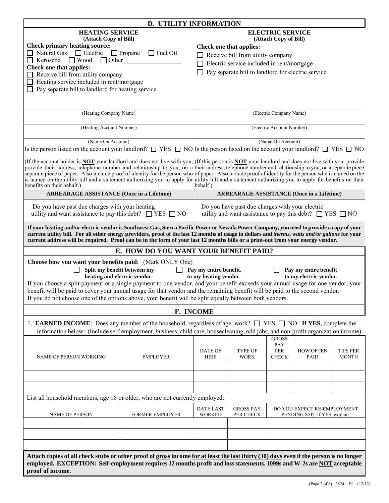| <b>D. UTILITY INFORMATION</b>                                                                                                                                                                                                                                                                                |                                                                        |                                                  |                                                    |                                                              |                                                                    |                 |  |  |
|--------------------------------------------------------------------------------------------------------------------------------------------------------------------------------------------------------------------------------------------------------------------------------------------------------------|------------------------------------------------------------------------|--------------------------------------------------|----------------------------------------------------|--------------------------------------------------------------|--------------------------------------------------------------------|-----------------|--|--|
| <b>HEATING SERVICE</b><br>(Attach Copy of Bill)                                                                                                                                                                                                                                                              |                                                                        |                                                  |                                                    | <b>ELECTRIC SERVICE</b>                                      |                                                                    |                 |  |  |
| <b>Check primary heating source:</b>                                                                                                                                                                                                                                                                         |                                                                        | (Attach Copy of Bill)<br>Check one that applies: |                                                    |                                                              |                                                                    |                 |  |  |
| $\Box$ Natural Gas $\Box$ Electric $\Box$ Propane                                                                                                                                                                                                                                                            | $\Box$ Fuel Oil                                                        |                                                  | Receive bill from utility company                  |                                                              |                                                                    |                 |  |  |
| $\Box$ Other<br>$\Box$ Wood<br>Kerosene                                                                                                                                                                                                                                                                      |                                                                        |                                                  | Electric service included in rent/mortgage         |                                                              |                                                                    |                 |  |  |
| Check one that applies:                                                                                                                                                                                                                                                                                      |                                                                        |                                                  | Pay separate bill to landlord for electric service |                                                              |                                                                    |                 |  |  |
| Receive bill from utility company                                                                                                                                                                                                                                                                            |                                                                        |                                                  |                                                    |                                                              |                                                                    |                 |  |  |
| Heating service included in rent/mortgage<br>Pay separate bill to landlord for heating service                                                                                                                                                                                                               |                                                                        |                                                  |                                                    |                                                              |                                                                    |                 |  |  |
|                                                                                                                                                                                                                                                                                                              |                                                                        |                                                  |                                                    |                                                              |                                                                    |                 |  |  |
|                                                                                                                                                                                                                                                                                                              |                                                                        |                                                  |                                                    |                                                              |                                                                    |                 |  |  |
| (Heating Company Name)                                                                                                                                                                                                                                                                                       |                                                                        |                                                  |                                                    | (Electric Company Name)                                      |                                                                    |                 |  |  |
|                                                                                                                                                                                                                                                                                                              |                                                                        |                                                  |                                                    |                                                              |                                                                    |                 |  |  |
| (Heating Account Number)                                                                                                                                                                                                                                                                                     |                                                                        |                                                  |                                                    | (Electric Account Number)                                    |                                                                    |                 |  |  |
|                                                                                                                                                                                                                                                                                                              |                                                                        |                                                  |                                                    |                                                              |                                                                    |                 |  |  |
| (Name On Account)                                                                                                                                                                                                                                                                                            |                                                                        |                                                  |                                                    | (Name On Account)                                            |                                                                    |                 |  |  |
| Is the person listed on the account your landlord? $\square$ YES $\square$ NO Is the person listed on the account your landlord? $\square$ YES $\square$ NO                                                                                                                                                  |                                                                        |                                                  |                                                    |                                                              |                                                                    |                 |  |  |
| (If the account holder is <b>NOT</b> your landlord and does not live with you, $($ If this person is <b>NOT</b> your landlord and does not live with you, provide                                                                                                                                            |                                                                        |                                                  |                                                    |                                                              |                                                                    |                 |  |  |
| provide their address, telephone number and relationship to you, on a their address, telephone number and relationship to you, on a separate piece<br>separate piece of paper. Also include proof of identity for the person who of paper. Also include proof of identity for the person who is named on the |                                                                        |                                                  |                                                    |                                                              |                                                                    |                 |  |  |
| is named on the utility bill and a statement authorizing you to apply for utility bill and a statement authorizing you to apply for benefits on their                                                                                                                                                        |                                                                        |                                                  |                                                    |                                                              |                                                                    |                 |  |  |
| benefits on their behalf.)                                                                                                                                                                                                                                                                                   |                                                                        | behalf.)                                         |                                                    |                                                              |                                                                    |                 |  |  |
| <b>ARREARAGE ASSISTANCE (Once in a Lifetime)</b>                                                                                                                                                                                                                                                             |                                                                        |                                                  |                                                    |                                                              | <b>ARREARAGE ASSISTANCE (Once in a Lifetime)</b>                   |                 |  |  |
| Do you have past due charges with your heating                                                                                                                                                                                                                                                               |                                                                        |                                                  | Do you have past due charges with your electric    |                                                              |                                                                    |                 |  |  |
| utility and want assistance to pay this debt? $\Box$ YES $\Box$ NO                                                                                                                                                                                                                                           |                                                                        |                                                  |                                                    |                                                              | utility and want assistance to pay this debt? $\Box$ YES $\Box$ NO |                 |  |  |
|                                                                                                                                                                                                                                                                                                              |                                                                        |                                                  |                                                    |                                                              |                                                                    |                 |  |  |
| If your heating and/or electric vendor is Southwest Gas, Sierra Pacific Power or Nevada Power Company, you need to provide a copy of your                                                                                                                                                                    |                                                                        |                                                  |                                                    |                                                              |                                                                    |                 |  |  |
| current utility bill. For all other energy providers, proof of the last 12 months of usage in dollars and therms, watts and/or gallons for your<br>current address will be required. Proof can be in the form of your last 12 months bills or a print-out from your energy vendor.                           |                                                                        |                                                  |                                                    |                                                              |                                                                    |                 |  |  |
|                                                                                                                                                                                                                                                                                                              | E. HOW DO YOU WANT YOUR BENEFIT PAID?                                  |                                                  |                                                    |                                                              |                                                                    |                 |  |  |
|                                                                                                                                                                                                                                                                                                              |                                                                        |                                                  |                                                    |                                                              |                                                                    |                 |  |  |
| <b>Choose how you want your benefits paid:</b> (Mark ONLY One)                                                                                                                                                                                                                                               |                                                                        |                                                  |                                                    |                                                              |                                                                    |                 |  |  |
|                                                                                                                                                                                                                                                                                                              | Split my benefit between my<br>$\perp$<br>heating and electric vendor. | Pay my entire benefit.<br>to my heating vendor.  |                                                    |                                                              | Pay my entire benefit<br>to my electric vendor.                    |                 |  |  |
| If you choose a split payment or a single payment to one vendor, and your benefit exceeds your annual usage for one vendor, your                                                                                                                                                                             |                                                                        |                                                  |                                                    |                                                              |                                                                    |                 |  |  |
| benefit will be paid to cover your annual usage for that vendor and the remaining benefit will be paid to the second vendor.                                                                                                                                                                                 |                                                                        |                                                  |                                                    |                                                              |                                                                    |                 |  |  |
| If you do not choose one of the options above, your benefit will be split equally between both vendors.                                                                                                                                                                                                      |                                                                        |                                                  |                                                    |                                                              |                                                                    |                 |  |  |
|                                                                                                                                                                                                                                                                                                              |                                                                        | F. INCOME                                        |                                                    |                                                              |                                                                    |                 |  |  |
|                                                                                                                                                                                                                                                                                                              |                                                                        |                                                  |                                                    |                                                              |                                                                    |                 |  |  |
| 1. <b>EARNED INCOME</b> : Does any member of the household, regardless of age, work? $\Box$ YES $\Box$ NO <b>If YES</b> , complete the<br>information below: (Include self-employment, business, child care, housecleaning, odd jobs, and non-profit organization income)                                    |                                                                        |                                                  |                                                    |                                                              |                                                                    |                 |  |  |
|                                                                                                                                                                                                                                                                                                              |                                                                        |                                                  |                                                    | <b>GROSS</b>                                                 |                                                                    |                 |  |  |
|                                                                                                                                                                                                                                                                                                              |                                                                        |                                                  |                                                    | PAY                                                          |                                                                    |                 |  |  |
|                                                                                                                                                                                                                                                                                                              |                                                                        | <b>DATE OF</b>                                   | <b>TYPE OF</b>                                     | <b>PER</b>                                                   | <b>HOW OFTEN</b>                                                   | <b>TIPS PER</b> |  |  |
| NAME OF PERSON WORKING                                                                                                                                                                                                                                                                                       | <b>EMPLOYER</b>                                                        | <b>HIRE</b>                                      | <b>WORK</b>                                        | <b>CHECK</b>                                                 | <b>PAID</b>                                                        | <b>MONTH</b>    |  |  |
|                                                                                                                                                                                                                                                                                                              |                                                                        |                                                  |                                                    |                                                              |                                                                    |                 |  |  |
|                                                                                                                                                                                                                                                                                                              |                                                                        |                                                  |                                                    |                                                              |                                                                    |                 |  |  |
|                                                                                                                                                                                                                                                                                                              |                                                                        |                                                  |                                                    |                                                              |                                                                    |                 |  |  |
| List all household members, age 18 or older, who are not currently employed:                                                                                                                                                                                                                                 |                                                                        |                                                  |                                                    |                                                              |                                                                    |                 |  |  |
|                                                                                                                                                                                                                                                                                                              |                                                                        |                                                  |                                                    |                                                              |                                                                    |                 |  |  |
| NAME OF PERSON                                                                                                                                                                                                                                                                                               | <b>DATE LAST</b><br><b>WORKED</b>                                      | <b>GROSS PAY</b><br>PER CHECK                    |                                                    | DO YOU EXPECT RE-EMPLOYMENT<br>PENDING SSI? If YES, explain. |                                                                    |                 |  |  |
|                                                                                                                                                                                                                                                                                                              | FORMER EMPLOYER                                                        |                                                  |                                                    |                                                              |                                                                    |                 |  |  |
|                                                                                                                                                                                                                                                                                                              |                                                                        |                                                  |                                                    |                                                              |                                                                    |                 |  |  |
|                                                                                                                                                                                                                                                                                                              |                                                                        |                                                  |                                                    |                                                              |                                                                    |                 |  |  |
|                                                                                                                                                                                                                                                                                                              |                                                                        |                                                  |                                                    |                                                              |                                                                    |                 |  |  |
| Attach copies of all check stubs or other proof of gross income for at least the last thirty (30) days even if the person is no longer                                                                                                                                                                       |                                                                        |                                                  |                                                    |                                                              |                                                                    |                 |  |  |
| employed. EXCEPTION: Self-employment requires 12 months profit and loss statements. 1099s and W-2s are NOT acceptable                                                                                                                                                                                        |                                                                        |                                                  |                                                    |                                                              |                                                                    |                 |  |  |
| proof of income.                                                                                                                                                                                                                                                                                             |                                                                        |                                                  |                                                    |                                                              |                                                                    |                 |  |  |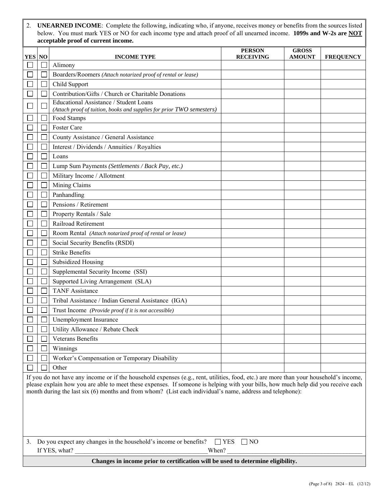2. **UNEARNED INCOME**: Complete the following, indicating who, if anyone, receives money or benefits from the sources listed below. You must mark YES or NO for each income type and attach proof of all unearned income. **1099s and W-2s are NOT acceptable proof of current income.**

|                                                                                                                                                                                                                                                                                                                                                                                           |                                                                                                                    |                                                                                      | <b>PERSON</b>    | <b>GROSS</b>  |                  |  |  |
|-------------------------------------------------------------------------------------------------------------------------------------------------------------------------------------------------------------------------------------------------------------------------------------------------------------------------------------------------------------------------------------------|--------------------------------------------------------------------------------------------------------------------|--------------------------------------------------------------------------------------|------------------|---------------|------------------|--|--|
| <b>YES</b> NO                                                                                                                                                                                                                                                                                                                                                                             |                                                                                                                    | <b>INCOME TYPE</b>                                                                   | <b>RECEIVING</b> | <b>AMOUNT</b> | <b>FREQUENCY</b> |  |  |
|                                                                                                                                                                                                                                                                                                                                                                                           |                                                                                                                    | Alimony                                                                              |                  |               |                  |  |  |
|                                                                                                                                                                                                                                                                                                                                                                                           |                                                                                                                    | Boarders/Roomers (Attach notarized proof of rental or lease)                         |                  |               |                  |  |  |
|                                                                                                                                                                                                                                                                                                                                                                                           |                                                                                                                    | Child Support                                                                        |                  |               |                  |  |  |
|                                                                                                                                                                                                                                                                                                                                                                                           |                                                                                                                    | Contribution/Gifts / Church or Charitable Donations                                  |                  |               |                  |  |  |
|                                                                                                                                                                                                                                                                                                                                                                                           |                                                                                                                    | Educational Assistance / Student Loans                                               |                  |               |                  |  |  |
|                                                                                                                                                                                                                                                                                                                                                                                           |                                                                                                                    | (Attach proof of tuition, books and supplies for prior TWO semesters)<br>Food Stamps |                  |               |                  |  |  |
|                                                                                                                                                                                                                                                                                                                                                                                           |                                                                                                                    | Foster Care                                                                          |                  |               |                  |  |  |
|                                                                                                                                                                                                                                                                                                                                                                                           |                                                                                                                    | County Assistance / General Assistance                                               |                  |               |                  |  |  |
|                                                                                                                                                                                                                                                                                                                                                                                           |                                                                                                                    | Interest / Dividends / Annuities / Royalties                                         |                  |               |                  |  |  |
|                                                                                                                                                                                                                                                                                                                                                                                           |                                                                                                                    | Loans                                                                                |                  |               |                  |  |  |
|                                                                                                                                                                                                                                                                                                                                                                                           |                                                                                                                    |                                                                                      |                  |               |                  |  |  |
|                                                                                                                                                                                                                                                                                                                                                                                           |                                                                                                                    | Lump Sum Payments (Settlements / Back Pay, etc.)                                     |                  |               |                  |  |  |
|                                                                                                                                                                                                                                                                                                                                                                                           |                                                                                                                    | Military Income / Allotment                                                          |                  |               |                  |  |  |
|                                                                                                                                                                                                                                                                                                                                                                                           |                                                                                                                    | Mining Claims                                                                        |                  |               |                  |  |  |
|                                                                                                                                                                                                                                                                                                                                                                                           |                                                                                                                    | Panhandling                                                                          |                  |               |                  |  |  |
|                                                                                                                                                                                                                                                                                                                                                                                           |                                                                                                                    | Pensions / Retirement                                                                |                  |               |                  |  |  |
|                                                                                                                                                                                                                                                                                                                                                                                           |                                                                                                                    | Property Rentals / Sale                                                              |                  |               |                  |  |  |
|                                                                                                                                                                                                                                                                                                                                                                                           |                                                                                                                    | Railroad Retirement                                                                  |                  |               |                  |  |  |
|                                                                                                                                                                                                                                                                                                                                                                                           |                                                                                                                    | Room Rental (Attach notarized proof of rental or lease)                              |                  |               |                  |  |  |
|                                                                                                                                                                                                                                                                                                                                                                                           |                                                                                                                    | Social Security Benefits (RSDI)                                                      |                  |               |                  |  |  |
|                                                                                                                                                                                                                                                                                                                                                                                           |                                                                                                                    | <b>Strike Benefits</b>                                                               |                  |               |                  |  |  |
|                                                                                                                                                                                                                                                                                                                                                                                           |                                                                                                                    | <b>Subsidized Housing</b>                                                            |                  |               |                  |  |  |
|                                                                                                                                                                                                                                                                                                                                                                                           |                                                                                                                    | Supplemental Security Income (SSI)                                                   |                  |               |                  |  |  |
|                                                                                                                                                                                                                                                                                                                                                                                           |                                                                                                                    | Supported Living Arrangement (SLA)                                                   |                  |               |                  |  |  |
|                                                                                                                                                                                                                                                                                                                                                                                           |                                                                                                                    | <b>TANF Assistance</b>                                                               |                  |               |                  |  |  |
|                                                                                                                                                                                                                                                                                                                                                                                           |                                                                                                                    | Tribal Assistance / Indian General Assistance (IGA)                                  |                  |               |                  |  |  |
|                                                                                                                                                                                                                                                                                                                                                                                           |                                                                                                                    | Trust Income (Provide proof if it is not accessible)                                 |                  |               |                  |  |  |
|                                                                                                                                                                                                                                                                                                                                                                                           |                                                                                                                    | Unemployment Insurance                                                               |                  |               |                  |  |  |
|                                                                                                                                                                                                                                                                                                                                                                                           | $\Box$                                                                                                             | Utility Allowance / Rebate Check                                                     |                  |               |                  |  |  |
|                                                                                                                                                                                                                                                                                                                                                                                           |                                                                                                                    | Veterans Benefits                                                                    |                  |               |                  |  |  |
|                                                                                                                                                                                                                                                                                                                                                                                           |                                                                                                                    | Winnings                                                                             |                  |               |                  |  |  |
|                                                                                                                                                                                                                                                                                                                                                                                           |                                                                                                                    | Worker's Compensation or Temporary Disability                                        |                  |               |                  |  |  |
|                                                                                                                                                                                                                                                                                                                                                                                           |                                                                                                                    | Other                                                                                |                  |               |                  |  |  |
| If you do not have any income or if the household expenses $(e.g., rent, utilities, food, etc.)$ are more than your household's income,<br>please explain how you are able to meet these expenses. If someone is helping with your bills, how much help did you receive each<br>month during the last six (6) months and from whom? (List each individual's name, address and telephone): |                                                                                                                    |                                                                                      |                  |               |                  |  |  |
|                                                                                                                                                                                                                                                                                                                                                                                           |                                                                                                                    |                                                                                      |                  |               |                  |  |  |
| 3.                                                                                                                                                                                                                                                                                                                                                                                        | Do you expect any changes in the household's income or benefits?<br>$\Box$ YES $\Box$ NO<br>If YES, what?<br>When? |                                                                                      |                  |               |                  |  |  |
|                                                                                                                                                                                                                                                                                                                                                                                           | Changes in income prior to certification will be used to determine eligibility.                                    |                                                                                      |                  |               |                  |  |  |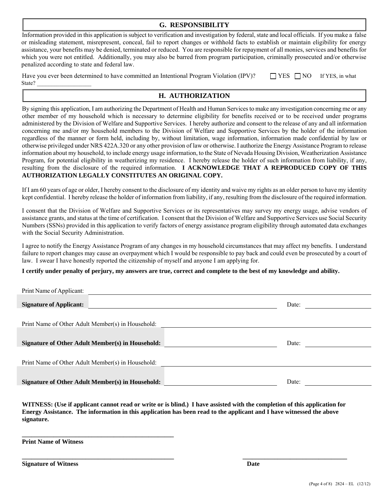## **G. RESPONSIBILITY**

Information provided in this application is subject to verification and investigation by federal, state and local officials. If you make a false or misleading statement, misrepresent, conceal, fail to report changes or withhold facts to establish or maintain eligibility for energy assistance, your benefits may be denied, terminated or reduced. You are responsible for repayment of all monies, services and benefits for which you were not entitled. Additionally, you may also be barred from program participation, criminally prosecuted and/or otherwise penalized according to state and federal law.

| Have you ever been determined to have committed an Intentional Program Violation (IPV)? | $\Box$ YES $\Box$ NO If YES, in what |  |
|-----------------------------------------------------------------------------------------|--------------------------------------|--|
| State?                                                                                  |                                      |  |

# **H. AUTHORIZATION**

By signing this application, I am authorizing the Department of Health and Human Services to make any investigation concerning me or any other member of my household which is necessary to determine eligibility for benefits received or to be received under programs administered by the Division of Welfare and Supportive Services. I hereby authorize and consent to the release of any and all information concerning me and/or my household members to the Division of Welfare and Supportive Services by the holder of the information regardless of the manner or form held, including by, without limitation, wage information, information made confidential by law or otherwise privileged under NRS 422A.320 or any other provision of law or otherwise. I authorize the Energy Assistance Program to release information about my household, to include energy usage information, to the State of Nevada Housing Division, Weatherization Assistance Program, for potential eligibility in weatherizing my residence. I hereby release the holder of such information from liability, if any, resulting from the disclosure of the required information. **I ACKNOWLEDGE THAT A REPRODUCED COPY OF THIS AUTHORIZATION LEGALLY CONSTITUTES AN ORIGINAL COPY.** 

If I am 60 years of age or older, I hereby consent to the disclosure of my identity and waive my rights as an older person to have my identity kept confidential. I hereby release the holder of information from liability, if any, resulting from the disclosure of the required information.

I consent that the Division of Welfare and Supportive Services or its representatives may survey my energy usage, advise vendors of assistance grants, and status at the time of certification. I consent that the Division of Welfare and Supportive Services use Social Security Numbers (SSNs) provided in this application to verify factors of energy assistance program eligibility through automated data exchanges with the Social Security Administration.

I agree to notify the Energy Assistance Program of any changes in my household circumstances that may affect my benefits. I understand failure to report changes may cause an overpayment which I would be responsible to pay back and could even be prosecuted by a court of law. I swear I have honestly reported the citizenship of myself and anyone I am applying for.

## **I certify under penalty of perjury, my answers are true, correct and complete to the best of my knowledge and ability.**

| Print Name of Applicant:                          |       |
|---------------------------------------------------|-------|
| <b>Signature of Applicant:</b>                    | Date: |
| Print Name of Other Adult Member(s) in Household: |       |
| Signature of Other Adult Member(s) in Household:  | Date: |
| Print Name of Other Adult Member(s) in Household: |       |
| Signature of Other Adult Member(s) in Household:  | Date: |

**WITNESS: (Use if applicant cannot read or write or is blind.) I have assisted with the completion of this application for Energy Assistance. The information in this application has been read to the applicant and I have witnessed the above signature.** 

**\_\_\_\_\_\_\_\_\_\_\_\_\_\_\_\_\_\_\_\_\_\_\_\_\_\_\_\_\_\_\_\_\_\_\_\_\_\_\_\_\_\_\_\_\_\_\_\_ \_\_\_\_\_\_\_\_\_\_\_\_\_\_\_\_\_\_\_\_\_\_\_\_\_\_\_\_\_\_\_\_\_** 

**Print Name of Witness** 

**\_\_\_\_\_\_\_\_\_\_\_\_\_\_\_\_\_\_\_\_\_\_\_\_\_\_\_\_\_\_\_\_\_\_\_\_\_\_\_\_\_\_\_\_\_\_\_\_** 

**Signature of Witness Date 2008 Contract and September 2008 Contract and Date 2008 Contract and Date 2008 Contract and Date 2008 Contract and Date 2008 Contract and Date 2008 Contract and Date 2008 Contract and Date 2008 C**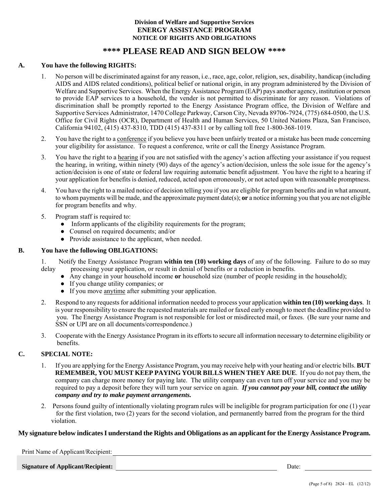## **Division of Welfare and Supportive Services ENERGY ASSISTANCE PROGRAM NOTICE OF RIGHTS AND OBLIGATIONS**

# **\*\*\*\* PLEASE READ AND SIGN BELOW \*\*\*\***

### **A. You have the following RIGHTS:**

- 1. No person will be discriminated against for any reason, i.e., race, age, color, religion, sex, disability, handicap (including AIDS and AIDS related conditions), political belief or national origin, in any program administered by the Division of Welfare and Supportive Services. When the Energy Assistance Program (EAP) pays another agency, institution or person to provide EAP services to a household, the vender is not permitted to discriminate for any reason. Violations of discrimination shall be promptly reported to the Energy Assistance Program office, the Division of Welfare and Supportive Services Administrator, 1470 College Parkway, Carson City, Nevada 89706-7924, (775) 684-0500, the U.S. Office for Civil Rights (OCR), Department of Health and Human Services, 50 United Nations Plaza, San Francisco, California 94102, (415) 437-8310, TDD (415) 437-8311 or by calling toll free 1-800-368-1019.
- 2. You have the right to a conference if you believe you have been unfairly treated or a mistake has been made concerning your eligibility for assistance. To request a conference, write or call the Energy Assistance Program.
- 3. You have the right to a hearing if you are not satisfied with the agency's action affecting your assistance if you request the hearing, in writing, within ninety (90) days of the agency's action/decision, unless the sole issue for the agency's action/decision is one of state or federal law requiring automatic benefit adjustment. You have the right to a hearing if your application for benefits is denied, reduced, acted upon erroneously, or not acted upon with reasonable promptness.
- 4. You have the right to a mailed notice of decision telling you if you are eligible for program benefits and in what amount, to whom payments will be made, and the approximate payment date(s); **or** a notice informing you that you are not eligible for program benefits and why.
- 5. Program staff is required to:
	- Inform applicants of the eligibility requirements for the program;
	- Counsel on required documents; and/or
	- Provide assistance to the applicant, when needed.

#### **B. You have the following OBLIGATIONS:**

1. Notify the Energy Assistance Program **within ten (10) working days** of any of the following. Failure to do so may delay processing your application, or result in denial of benefits or a reduction in benefits.

- Any change in your household income **or** household size (number of people residing in the household);
- If you change utility companies; or
- If you move anytime after submitting your application.
- 2. Respond to any requests for additional information needed to process your application **within ten (10) working days**. It is your responsibility to ensure the requested materials are mailed or faxed early enough to meet the deadline provided to you. The Energy Assistance Program is not responsible for lost or misdirected mail, or faxes. (Be sure your name and SSN or UPI are on all documents/correspondence.)
- 3. Cooperate with the Energy Assistance Program in its efforts to secure all information necessary to determine eligibility or benefits.

## **C. SPECIAL NOTE:**

- 1. If you are applying for the Energy Assistance Program, you may receive help with your heating and/or electric bills. **BUT REMEMBER, YOU MUST KEEP PAYING YOUR BILLS WHEN THEY ARE DUE**. If you do not pay them, the company can charge more money for paying late. The utility company can even turn off your service and you may be required to pay a deposit before they will turn your service on again. *If you cannot pay your bill, contact the utility company and try to make payment arrangements.*
- 2. Persons found guilty of intentionally violating program rules will be ineligible for program participation for one (1) year for the first violation, two (2) years for the second violation, and permanently barred from the program for the third violation.

## **My signature below indicates I understand the Rights and Obligations as an applicant for the Energy Assistance Program.**

<u> 1980 - Johann Barn, mars an t-Amerikaansk politiker (</u>

Print Name of Applicant/Recipient:

**Signature of Applicant/Recipient:** Date: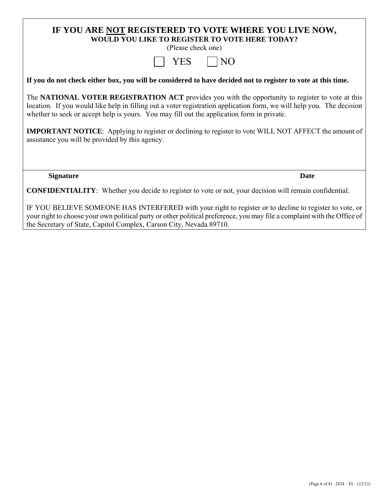# **IF YOU ARE NOT REGISTERED TO VOTE WHERE YOU LIVE NOW, WOULD YOU LIKE TO REGISTER TO VOTE HERE TODAY?**

(Please check one)

|--|--|

**If you do not check either box, you will be considered to have decided not to register to vote at this time.** 

The **NATIONAL VOTER REGISTRATION ACT** provides you with the opportunity to register to vote at this location. If you would like help in filling out a voter registration application form, we will help you. The decision whether to seek or accept help is yours. You may fill out the application form in private.

**IMPORTANT NOTICE**: Applying to register or declining to register to vote WILL NOT AFFECT the amount of assistance you will be provided by this agency.

**Signature** Date

**CONFIDENTIALITY**: Whether you decide to register to vote or not, your decision will remain confidential.

IF YOU BELIEVE SOMEONE HAS INTERFERED with your right to register or to decline to register to vote, or your right to choose your own political party or other political preference, you may file a complaint with the Office of the Secretary of State, Capitol Complex, Carson City, Nevada 89710.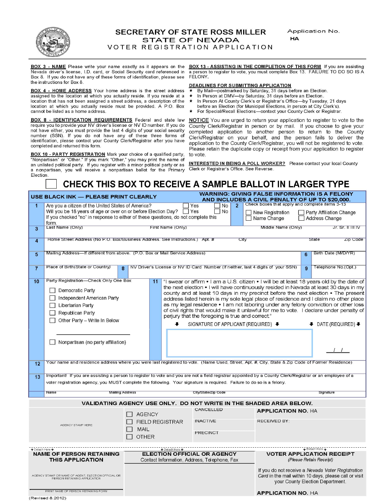

Application No. **HA** 

VOTER REGISTRATION APPLICATION

Nevada driver's license, I.D. card, or Social Security card referenced in Box 8. If you do not have any of these forms of identification, please see the instructions for Box 8.

**BOX 4 - HOME ADDRESS** Your home address is the street address assigned to the location at which you actually reside. If you reside at a location that has not been assigned a street address, a description of the location at which you actually reside must be provided. A P.O. Box cannot be listed as a home address.

**BOX 8 - IDENTIFICATION REQUIREMENTS** Federal and state law require you to provide your NV driver's license or NV ID number. If you do not have either, you must provide the last 4 digits of your social security number (SSN). If you do not have any of these three forms of identification, please contact your County Clerk/Registrar after you have completed and returned this form.

**BOX 10 - PARTY REGISTRATION** Mark your choice of a qualified party, "Nonpartisan" or "Other." If you mark "Other," you may print the name of an unlisted political party. If you register with a minor political party or as a nonpartisan, you will receive a nonpartisan ballot for the Primary Election.

BOX 3 - NAME Please write your name exactly as it appears on the BOX 13 - ASSISTING IN THE COMPLETION OF THIS FORM If you are assisting a person to register to vote, you must complete Box 13. FAILURE TO DO SO IS A FELONY.

#### DEADLINES FOR SUBMITTING APPLICATION

- By Mail-postmarked by Saturday, 31 days before an Election.
- In Person at DMV-by Saturday, 31 days before an Election.  $\star$
- In Person At County Clerk's or Registrar's Office-by Tuesday, 21 days
- before an Election (for Municipal Elections, in person at City Clerk's).
- For Special/Recall Elections-contact your County Clerk or Registrar.

NOTICE You are urged to return your application to register to vote to the County Clerk/Registrar in person or by mail. If you choose to give your completed application to another person to return to the County Clerk/Registrar on your behalf, and the person fails to deliver the application to the County Clerk/Registrar, you will not be registered to vote. Please retain the duplicate copy or receipt from your application to register to vote.

**INTERESTED IN BEING A POLL WORKER?** Please contact your local County Clerk or Registrar's Office. See Reverse.

# CHECK THIS BOX TO RECEIVE A SAMPLE BALLOT IN LARGER TYPE

|                  | USE BLACK INK — PLEASE PRINT CLEARLY                                                                                                                                                                                                               |                                                                                                                                                                                                                                                                                                                                                                                                                                                                                                                                                                                                                                                                                                                                                                                                                                                                                                                                                                                                                                                 |  |                                   |                                                                                    |                | WARNING: GIVING FALSE INFORMATION IS A FELONY<br>AND INCLUDES A CIVIL PENALTY OF UP TO \$20,000. |                                     |                                                                                                                                                |
|------------------|----------------------------------------------------------------------------------------------------------------------------------------------------------------------------------------------------------------------------------------------------|-------------------------------------------------------------------------------------------------------------------------------------------------------------------------------------------------------------------------------------------------------------------------------------------------------------------------------------------------------------------------------------------------------------------------------------------------------------------------------------------------------------------------------------------------------------------------------------------------------------------------------------------------------------------------------------------------------------------------------------------------------------------------------------------------------------------------------------------------------------------------------------------------------------------------------------------------------------------------------------------------------------------------------------------------|--|-----------------------------------|------------------------------------------------------------------------------------|----------------|--------------------------------------------------------------------------------------------------|-------------------------------------|------------------------------------------------------------------------------------------------------------------------------------------------|
| 1                | Are you a citizen of the United States of America?<br>Will you be 18 years of age or over on or before Election Day?   Yes<br>If you checked "no" in response to either of these questions, do not complete this<br>form.                          |                                                                                                                                                                                                                                                                                                                                                                                                                                                                                                                                                                                                                                                                                                                                                                                                                                                                                                                                                                                                                                                 |  |                                   | No<br>Yes<br>  No                                                                  | $\overline{2}$ | Check boxes that apply and complete items 3-13<br>$\Box$ New Registration<br>  Name Change       |                                     | □ Party Affiliation Change<br>  Address Change                                                                                                 |
| 3                | Last Name (Only)                                                                                                                                                                                                                                   |                                                                                                                                                                                                                                                                                                                                                                                                                                                                                                                                                                                                                                                                                                                                                                                                                                                                                                                                                                                                                                                 |  | First Name (Only)                 |                                                                                    |                | Middle Name (Only)                                                                               |                                     | Jr. Sr. II III IV                                                                                                                              |
| $\blacktriangle$ | Home Street Address (No P.O. Box/Business Address. See Instructions.) Apt. #                                                                                                                                                                       |                                                                                                                                                                                                                                                                                                                                                                                                                                                                                                                                                                                                                                                                                                                                                                                                                                                                                                                                                                                                                                                 |  |                                   |                                                                                    | City           |                                                                                                  |                                     | State<br>Zip Code                                                                                                                              |
| 5                | Mailing Address—If different from above. (P.O. Box or Mail Service Address)                                                                                                                                                                        |                                                                                                                                                                                                                                                                                                                                                                                                                                                                                                                                                                                                                                                                                                                                                                                                                                                                                                                                                                                                                                                 |  |                                   |                                                                                    |                |                                                                                                  | 6                                   | Birth Date (M/D/YR)                                                                                                                            |
| $\overline{7}$   | Place of Birth(State or Country)<br>$\mathbf{R}$                                                                                                                                                                                                   |                                                                                                                                                                                                                                                                                                                                                                                                                                                                                                                                                                                                                                                                                                                                                                                                                                                                                                                                                                                                                                                 |  |                                   |                                                                                    |                | NV Driver's License or NV ID Card Number (If neither, last 4 digits of your SSN)                 | $\mathbf{Q}$                        | Telephone No.(Opt.)                                                                                                                            |
| 10<br>12<br>13   | Democratic Party<br>Independent American Party<br>□ Libertarian Party<br>Republican Party<br>Other Party - Write In Below<br>voter registration agency, you MUST complete the following. Your signature is required. Failure to do so is a felony. | Party Registration-Check Only One Box<br>11<br>"I swear or affirm • I am a U.S. citizen • I will be at least 18 years old by the date of<br>the next election • I will have continuously resided in Nevada at least 30 days in my<br>county and at least 10 days in my precinct before the next election . The present<br>address listed herein is my sole legal place of residence and I claim no other place<br>as my legal residence • I am not laboring under any felony conviction or other loss<br>of civil rights that would make it unlawful for me to vote. I declare under penalty of<br>perjury that the foregoing is true and correct."<br>SIGNATURE OF APPLICANT (REQUIRED) ↓<br>Nonpartisan (no party affiliation)<br>Your name and residence address where you were last registered to vote. (Name Used, Street, Apt. #, City, State & Zip Code of Former Residence)<br>Important! If you are assisting a person to register to vote and you are not a field registrar appointed by a County Clerk/Registrar or an employee of a |  |                                   |                                                                                    |                |                                                                                                  | $\bullet$ DATE (REQUIRED) $\bullet$ |                                                                                                                                                |
|                  | <b>Mailing Address</b><br>Name                                                                                                                                                                                                                     |                                                                                                                                                                                                                                                                                                                                                                                                                                                                                                                                                                                                                                                                                                                                                                                                                                                                                                                                                                                                                                                 |  |                                   | City/State/Zip Code                                                                |                |                                                                                                  |                                     | Signature                                                                                                                                      |
|                  |                                                                                                                                                                                                                                                    |                                                                                                                                                                                                                                                                                                                                                                                                                                                                                                                                                                                                                                                                                                                                                                                                                                                                                                                                                                                                                                                 |  |                                   |                                                                                    |                | VALIDATING AGENCY USE ONLY. DO NOT WRITE IN THE SHADED AREA BELOW.                               |                                     |                                                                                                                                                |
|                  | AGENCY STAMP HERE                                                                                                                                                                                                                                  | <b>AGENCY</b><br><b>FIELD REGISTRAR</b><br>MAIL<br><b>OTHER</b>                                                                                                                                                                                                                                                                                                                                                                                                                                                                                                                                                                                                                                                                                                                                                                                                                                                                                                                                                                                 |  |                                   | CANCELLED<br><b>INACTIVE</b><br><b>PRECINCT</b>                                    |                | <b>APPLICATION NO. HA</b><br><b>RECEIVED BY:</b>                                                 |                                     |                                                                                                                                                |
| ↑ Detach Here ↑  | <b>NAME OF PERSON RETAINING</b><br>THIS APPLICATION                                                                                                                                                                                                |                                                                                                                                                                                                                                                                                                                                                                                                                                                                                                                                                                                                                                                                                                                                                                                                                                                                                                                                                                                                                                                 |  | $\uparrow$ Detach Here $\uparrow$ | <b>ELECTION OFFICIAL OR AGENCY</b><br>Contact Information, Address, Telephone, Fax |                |                                                                                                  |                                     | Detach Here<br><b>VOTER APPLICATION RECEIPT</b><br>(Please Retain Receipt)                                                                     |
|                  | AGENCY STAMP OR NAME OF AGENT, ELECTION OFFICIAL OR<br>PERSON RETAINING APPLICATION<br>PRINT NAME OF PERSON RETAINING FORM                                                                                                                         |                                                                                                                                                                                                                                                                                                                                                                                                                                                                                                                                                                                                                                                                                                                                                                                                                                                                                                                                                                                                                                                 |  |                                   |                                                                                    |                |                                                                                                  |                                     | If you do not receive a Nevada Voter Registration<br>Card in the mail within 10 days, please call or visit<br>your County Election Department. |
|                  |                                                                                                                                                                                                                                                    |                                                                                                                                                                                                                                                                                                                                                                                                                                                                                                                                                                                                                                                                                                                                                                                                                                                                                                                                                                                                                                                 |  |                                   |                                                                                    |                | <b>APPLICATION NO. HA</b>                                                                        |                                     |                                                                                                                                                |